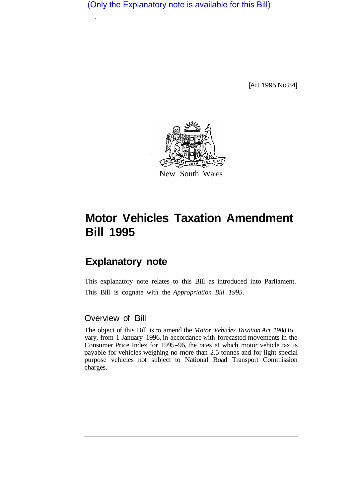(Only the Explanatory note is available for this Bill)

[Act 1995 No 84]



## **Motor Vehicles Taxation Amendment Bill 1995**

## **Explanatory note**

This explanatory note relates to this Bill as introduced into Parliament. This Bill is cognate with the *Appropriation Bill 1995.* 

## Overview of Bill

The object of this Bill is to amend the *Motor Vehicles Taxation Act 1988* to vary, from **1** January 1996, in accordance with forecasted movements in the Consumer Price Index for 1995-96, the rates at which motor vehicle tax is payable for vehicles weighing no more than 2.5 tonnes and for light special purpose vehicles not subject to National Road Transport Commission charges.